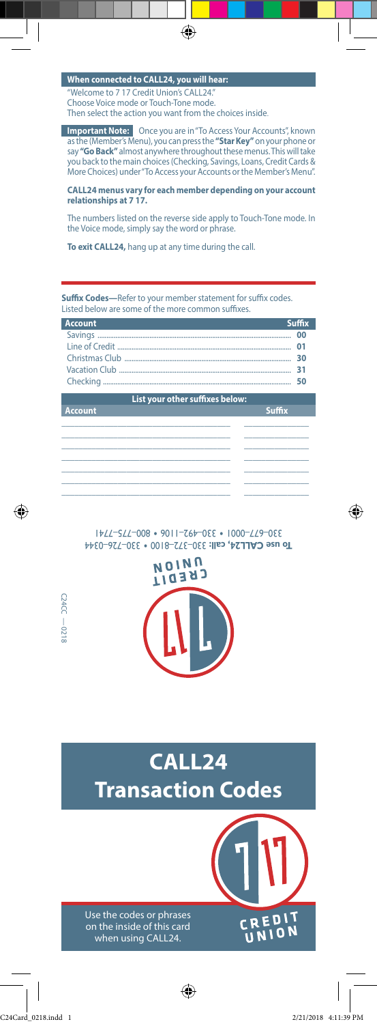## **When connected to CALL24, you will hear:**

Welcome to 7 17 Credit Union's CALL24. Choose Voice mode or Touch-Tone mode. Then select the action you want from the choices inside.

**Important Note:** Once you are in "To Access Your Accounts", known say **"Go Back"** almost anywhere throughout these menus. This will take as the (Member's Menu), you can press the **"Star Key"** on your phone or you back to the main choices (Checking, Savings, Loans, Credit Cards & More Choices) under "To Access your Accounts or the Member's Menu".

 $\bigoplus$ 

**CALL24 menus vary for each member depending on your account relationships at 7 17.** 

The numbers listed on the reverse side apply to Touch-Tone mode. In the Voice mode, simply say the word or phrase.

**To exit CALL24,** hang up at any time during the call.

**Suffix Codes---**Refer to your member statement for suffix codes. Listed below are some of the more common suffixes.

| <b>Account</b> | <b>Suffix</b> |
|----------------|---------------|
|                | nn            |
|                |               |
|                |               |
|                |               |
|                |               |
|                |               |

| List your other suffixes below: |  |  |               |  |
|---------------------------------|--|--|---------------|--|
| <b>Account</b>                  |  |  | <b>Suffix</b> |  |
|                                 |  |  |               |  |
|                                 |  |  |               |  |
|                                 |  |  |               |  |
|                                 |  |  |               |  |
|                                 |  |  |               |  |
|                                 |  |  |               |  |
|                                 |  |  |               |  |
|                                 |  |  |               |  |

330–372–8100 • 330–726–0344 **To use CALL24, call:**  330–677–0001 • 330–492–1106 • 800–775–7741





 $\overline{\phantom{a}}$ 

C24CC — 0218

 $C24CC - 0218$ 

⊕

⊕